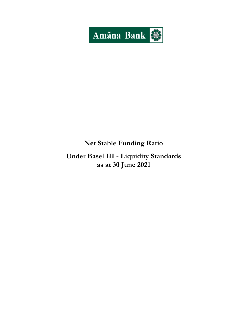

## **Net Stable Funding Ratio**

# **Under Basel III - Liquidity Standards as at 30 June 2021**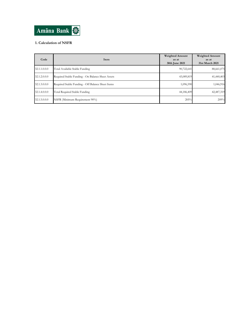

### **1. Calculation of NSFR**

| Code         | Item                                              | <b>Weighted Amount</b><br>as at<br>30th June 2021 | <b>Weighted Amount</b><br>as at<br>31st March 2021 |
|--------------|---------------------------------------------------|---------------------------------------------------|----------------------------------------------------|
| 32.1.1.0.0.0 | Total Available Stable Funding                    | 90,722,641                                        | 88,661,075                                         |
| 32.1.2.0.0.0 | Required Stable Funding - On Balance Sheet Assets | 43,089,819                                        | 41,440,403                                         |
| 32.1.3.0.0.0 | Required Stable Funding - Off Balance Sheet Items | 1,096,590                                         | 1,046,916                                          |
| 32.1.4.0.0.0 | Total Required Stable Funding                     | 44,186,409                                        | 42,487,319                                         |
| 32.1.5.0.0.0 | NSFR (Minimum Requirement 90%)                    | 205%                                              | 209%                                               |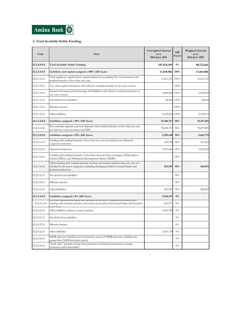

#### **2. Total Available Stable Funding**

| Code         | Item                                                                                                                                                                                              | <b>Unweighted Amount</b><br>as at<br>30th June 2021 | <b>ASF</b><br>Factor | <b>Weighted Amount</b><br>as at<br>30th June 2021 |
|--------------|---------------------------------------------------------------------------------------------------------------------------------------------------------------------------------------------------|-----------------------------------------------------|----------------------|---------------------------------------------------|
| 32.2.0.0.0.0 | <b>Total Available Stable Funding</b>                                                                                                                                                             | 107,074,395                                         | $0\%$                | 90,722,641                                        |
| 32.2.1.0.0.0 | Liabilities and capital assigned a 100% ASF factor                                                                                                                                                | 17,819,981                                          | 100%                 | 17,819,981                                        |
| 32.2.1.1.0.0 | Total regulatory capital before capital deductions (excluding Tier 2 instruments with<br>residual maturity of less than one year)                                                                 | 11,611,121                                          | 100%                 | 11,611,121                                        |
| 32.2.1.2.0.0 | Any other capital instrument with effective residual maturity of one year or more                                                                                                                 |                                                     | 100%                 |                                                   |
| 32.2.1.3.0.0 | Secured and unsecured borrowings and liabilities with effective residual maturities of<br>one year or more                                                                                        | 6,208,859                                           | 100%                 | 6,208,859                                         |
| 32.2.1.3.1.0 | Net deferred tax liabilities                                                                                                                                                                      | 68,245                                              | 100%                 | 68,245                                            |
| 32.2.1.3.2.0 | Minority interest                                                                                                                                                                                 |                                                     | 100%                 |                                                   |
| 32.2.1.3.3.0 | Other liabilities                                                                                                                                                                                 | 6,140,614                                           | 100%                 | 6,140,614                                         |
| 32.2.2.0.0.0 | Liabilities assigned a 90% ASF factor                                                                                                                                                             | 78,108,767                                          | 90%                  | 70,297,891                                        |
| 32.2.2.1.0.0 | Non-maturity deposits and term deposits with residual maturity of less than one year<br>provided by retail customers and SME                                                                      | 78,108,767                                          | 90%                  | 70,297,891                                        |
| 32.2.3.0.0.0 | Liabilities assigned a 50% ASF factor                                                                                                                                                             | 5,209,540                                           | 50%                  | 2,604,770                                         |
| 32.2.3.1.0.0 | Funding with residual maturity of less than one year provided by non-financial<br>corporate customers                                                                                             | 423,708                                             | 50%                  | 211,854                                           |
| 32.2.3.2.0.0 | Operational deposits                                                                                                                                                                              | 3,931,846                                           | 50%                  | 1,965,923                                         |
| 32.2.3.3.0.0 | Funding with residual maturity of less than one year from sovereigns, Public Sector<br>Entities (PSEs), and Multilateral Development Banks (MDBs)                                                 |                                                     | 50%                  |                                                   |
| 32.2.3.4.0.0 | Other funding with residual maturity between six months and less than one year not<br>included in the above categories, including funding provided by central banks and<br>financial institutions | 853,987                                             | 50%                  | 426,993                                           |
| 32.2.3.4.1.0 | Net deferred tax liabilities                                                                                                                                                                      |                                                     | 50%                  |                                                   |
| 32.2.3.4.2.0 | Minority interest                                                                                                                                                                                 |                                                     | 50%                  |                                                   |
| 32.2.3.4.3.0 | Other liabilities                                                                                                                                                                                 | 853,987                                             | 50%                  | 426,993                                           |
| 32.2.4.0.0.0 | Liabilities assigned a 0% ASF factor                                                                                                                                                              | 5,936,107                                           | $0\%$                |                                                   |
| 32.2.4.1.0.0 | Air other nabinues and equity not included in the above categories including other<br>funding with residual maturity of less than six months from central banks and financial                     | 925,377                                             | $0\%$                |                                                   |
| 32.2.4.2.0.0 | Other liabilities without a stated maturity                                                                                                                                                       | 5,010,730                                           | $0\%$                |                                                   |
| 32.2.4.2.1.0 | Net deferred tax liabilities                                                                                                                                                                      |                                                     | $0\%$                |                                                   |
| 32.2.4.2.2.0 | Minority interest                                                                                                                                                                                 |                                                     | $0\%$                |                                                   |
| 32.2.4.2.3.0 | Other liabilities                                                                                                                                                                                 | 5,010,730                                           | $0\%$                |                                                   |
| 32.2.4.3.0.0 | NSFR derivative liabilities net of derivative assets (if NSFR derivative liabilities are<br>greater than NSFR derivative assets)                                                                  |                                                     | $0\%$                |                                                   |
| 32.2.4.4.0.0 | "Trade date" payables arising from purchases of financial instruments, foreign<br>currencies and commodities                                                                                      |                                                     | $0\%$                |                                                   |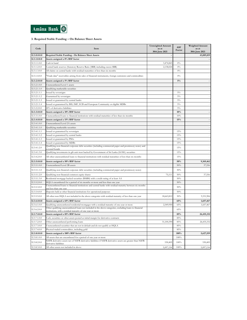

### **3. Required Stable Funding – On Balance Sheet Assets**

| Code         | Item                                                                                                                                                                | <b>Unweighted Amount</b><br>as at<br>30th June 2021 | ASF<br>Factor | <b>Weighted Amount</b><br>as at<br>30th June 2021 |
|--------------|---------------------------------------------------------------------------------------------------------------------------------------------------------------------|-----------------------------------------------------|---------------|---------------------------------------------------|
| 32.3.0.0.0.0 | Required Stable Funding - On Balance Sheet Assets                                                                                                                   |                                                     |               | 43,089,819                                        |
| 32.3.1.0.0.0 | Assets assigned a 0% RSF factor                                                                                                                                     |                                                     |               |                                                   |
| 32.3.1.1.0.0 | Cash in hand                                                                                                                                                        | 3,474,843                                           | $0\%$         |                                                   |
| 32.3.1.2.0.0 | Central bank reserves (Statutory Reserve Ratio (SRR) including excess SRR)                                                                                          | 2,138,024                                           | $0\%$         |                                                   |
| 32.3.1.3.0.0 | All claims on central banks with residual maturities of less than six months                                                                                        |                                                     | $0\%$         |                                                   |
| 32.3.1.4.0.0 | Trade date" receivables arising from sales of financial instruments, foreign currencies and commodities                                                             |                                                     | $0\%$         |                                                   |
| 32.3.2.0.0.0 | Assets assigned a 5% RSF factor                                                                                                                                     |                                                     | $5\%$         |                                                   |
| 32.3.2.1.0.0 | Unencumbered Level 1 assets                                                                                                                                         |                                                     |               |                                                   |
| 32.3.2.1.1.0 | Qualifying marketable securities                                                                                                                                    |                                                     |               |                                                   |
| 32.3.2.1.1.1 | Issued by sovereigns                                                                                                                                                |                                                     | $5\%$         |                                                   |
| 32.3.2.1.1.2 | Guaranteed by sovereigns                                                                                                                                            |                                                     | $5\%$         |                                                   |
| 32.3.2.1.1.3 | Issued or guaranteed by central banks                                                                                                                               |                                                     | $5\%$         |                                                   |
| 32.3.2.1.1.4 | Issued or guaranteed by BIS, IMF, ECB and European Community or eligible MDBs                                                                                       |                                                     | $5\%$         |                                                   |
| 32.3.2.2.0.0 | 20% of derivative liabilities                                                                                                                                       |                                                     | $5\%$         |                                                   |
| 32.3.3.0.0.0 | Assets assigned a 10% RSF factor                                                                                                                                    |                                                     | 10%           |                                                   |
| 32.3.3.1.0.0 | Unencumbered loans to financial institutions with residual maturities of less than six months                                                                       |                                                     | 10%           |                                                   |
| 32.3.4.0.0.0 | Assets assigned a 15% RSF factor                                                                                                                                    |                                                     | 15%           |                                                   |
| 32.3.4.1.0.0 | Unencumbered Level 2A assets                                                                                                                                        |                                                     |               |                                                   |
| 32.3.4.1.1.0 | Qualifying marketable securities                                                                                                                                    |                                                     |               |                                                   |
| 32.3.4.1.1.1 | Issued or guaranteed by sovereigns                                                                                                                                  |                                                     | 15%           |                                                   |
| 32.3.4.1.1.2 | Issued or guaranteed by central banks                                                                                                                               |                                                     | 15%           |                                                   |
| 32.3.4.1.1.3 | Issued or guaranteed by PSEs                                                                                                                                        |                                                     | 15%           |                                                   |
| 32.3.4.1.1.4 | Issued or guaranteed by MDBs                                                                                                                                        |                                                     | $15\%$        |                                                   |
| 32.3.4.1.2.0 | Qualifying non-financial corporate debt securities (including commercial paper and promissory notes) and<br>covered bonds                                           |                                                     | 15%           |                                                   |
| 32.3.4.1.3.0 | Qualifying investments in gilt unit trust backed by Government of Sri Lanka (GOSL) securities                                                                       |                                                     | 15%           |                                                   |
| 32.3.4.2.0.0 | All other unencumbered loans to financial institutions with residual maturities of less than six months                                                             |                                                     | 15%           |                                                   |
| 32.3.5.0.0.0 | Assets assigned a 50% RSF factor                                                                                                                                    |                                                     | 50%           | 9,369,462                                         |
| 32.3.5.1.0.0 | Unencumbered Level 2B assets                                                                                                                                        |                                                     | $50\%$        | 37,556                                            |
| 32.3.5.1.1.0 | Qualifying non-financial corporate debt securities (including commercial paper and promissory notes)                                                                |                                                     | 50%           |                                                   |
| 32.3.5.1.2.0 | Qualifying non-financial common equity shares                                                                                                                       | 75,111                                              | 50%           | 37,556                                            |
| 32.3.5.1.3.0 | Residential mortgage backed securities (RMBS) with a credit rating of at least AA                                                                                   |                                                     | 50%           |                                                   |
| 32.3.5.2.0.0 | HQLA encumbered for a period of six months or more and less than one year                                                                                           |                                                     | 50%           |                                                   |
| 32.3.5.3.0.0 | Unencumbered loans to financial institutions and central banks with residual maturity between six months<br>and less than one vear                                  |                                                     | 50%           |                                                   |
| 32.3.5.4.0.0 | Deposits held at other financial institutions for operational purposes                                                                                              |                                                     | 50%           |                                                   |
| 32.3.5.5.0.0 | All other non HQLA not included in the above categories with residual maturity of less than one year                                                                | 18,663,812                                          | 50%           | 9,331,906                                         |
| 32.3.6.0.0.0 | Assets assigned a 65% RSF factor                                                                                                                                    |                                                     | 65%           | 1,657,467                                         |
| 32.3.6.1.0.0 | Qualifying unencumbered residential mortgages with a residual maturity of one year or more                                                                          | 2,549,950                                           | 65%           | 1,657,467                                         |
| 32.3.6.2.0.0 | Other qualifying unencumbered loans not included in the above categories, excluding loans to financial<br>nstitutions, with a residual maturity of one year or more |                                                     | 65%           |                                                   |
| 32.3.7.0.0.0 | Assets assigned a 85% RSF factor                                                                                                                                    |                                                     | 85%           | 26,435,332                                        |
| 32.3.7.1.0.0 | Cash, securities or other assets posted as initial margin for derivative contracts                                                                                  |                                                     | 85%           |                                                   |
| 32.3.7.2.0.0 | Other unencumbered performing loans                                                                                                                                 | 31,100,390                                          | 85%           | 26,435,332                                        |
| 32.3.7.3.0.0 | Unencumbered securities that are not in default and do not qualify as HQLA                                                                                          |                                                     | $85\%$        |                                                   |
| 32.3.7.4.0.0 | Physical traded commodities, including gold                                                                                                                         |                                                     | $85\%$        |                                                   |
| 32.3.8.0.0.0 | Assets assigned a 100% RSF factor                                                                                                                                   |                                                     | 100%          | 5,627,559                                         |
| 32.3.8.1.0.0 | All assets that are encumbered for a period of one year or more                                                                                                     |                                                     | 100%          |                                                   |
| 32.3.8.2.0.0 | NSFR derivative assets net of NSFR derivative liabilities if NSFR derivative assets are greater than NSFR<br>derivative liabilities                                 | 530,405                                             | 100%          | 530,405                                           |
| 32.3.8.3.0.0 | All other assets not included in above                                                                                                                              | 5,097,154                                           | 100%          | 5,097,154                                         |